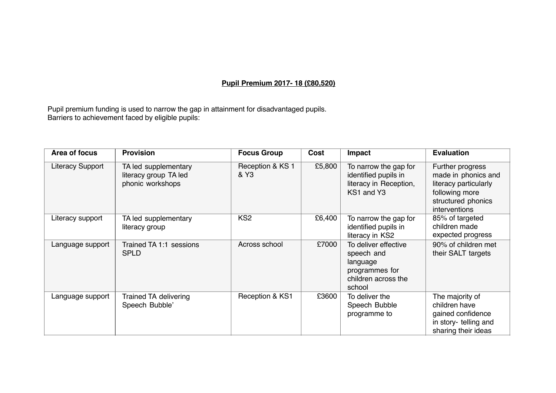## **Pupil Premium 2017- 18 (£80,520)**

Pupil premium funding is used to narrow the gap in attainment for disadvantaged pupils. Barriers to achievement faced by eligible pupils:

| Area of focus           | <b>Provision</b>                                                  | <b>Focus Group</b>       | Cost   | Impact                                                                                            | <b>Evaluation</b>                                                                                                         |
|-------------------------|-------------------------------------------------------------------|--------------------------|--------|---------------------------------------------------------------------------------------------------|---------------------------------------------------------------------------------------------------------------------------|
| <b>Literacy Support</b> | TA led supplementary<br>literacy group TA led<br>phonic workshops | Reception & KS 1<br>& Y3 | £5,800 | To narrow the gap for<br>identified pupils in<br>literacy in Reception,<br>KS1 and Y3             | Further progress<br>made in phonics and<br>literacy particularly<br>following more<br>structured phonics<br>interventions |
| Literacy support        | TA led supplementary<br>literacy group                            | KS <sub>2</sub>          | £6,400 | To narrow the gap for<br>identified pupils in<br>literacy in KS2                                  | 85% of targeted<br>children made<br>expected progress                                                                     |
| Language support        | Trained TA 1:1 sessions<br><b>SPLD</b>                            | Across school            | £7000  | To deliver effective<br>speech and<br>language<br>programmes for<br>children across the<br>school | 90% of children met<br>their SALT targets                                                                                 |
| Language support        | <b>Trained TA delivering</b><br>Speech Bubble'                    | Reception & KS1          | £3600  | To deliver the<br>Speech Bubble<br>programme to                                                   | The majority of<br>children have<br>gained confidence<br>in story- telling and<br>sharing their ideas                     |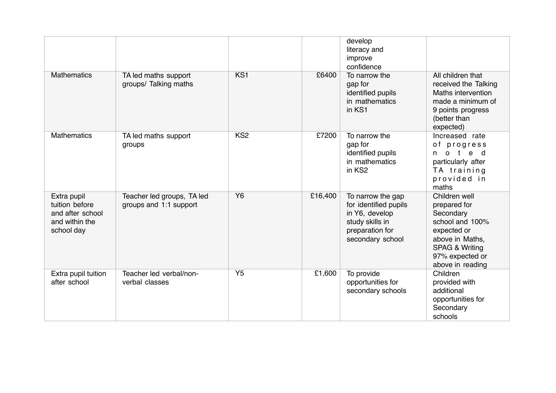|                                                                                   |                                                      |                 |         | develop<br>literacy and<br>improve<br>confidence                                                                       |                                                                                                                                                                     |
|-----------------------------------------------------------------------------------|------------------------------------------------------|-----------------|---------|------------------------------------------------------------------------------------------------------------------------|---------------------------------------------------------------------------------------------------------------------------------------------------------------------|
| <b>Mathematics</b>                                                                | TA led maths support<br>groups/ Talking maths        | KS <sub>1</sub> | £6400   | To narrow the<br>gap for<br>identified pupils<br>in mathematics<br>in KS1                                              | All children that<br>received the Talking<br>Maths intervention<br>made a minimum of<br>9 points progress<br>(better than<br>expected)                              |
| <b>Mathematics</b>                                                                | TA led maths support<br>groups                       | KS <sub>2</sub> | £7200   | To narrow the<br>gap for<br>identified pupils<br>in mathematics<br>in KS2                                              | Increased rate<br>of progress<br>o t<br>e d<br>n.<br>particularly after<br>TA training<br>provided in<br>maths                                                      |
| Extra pupil<br>tuition before<br>and after school<br>and within the<br>school day | Teacher led groups, TA led<br>groups and 1:1 support | <b>Y6</b>       | £16,400 | To narrow the gap<br>for identified pupils<br>in Y6, develop<br>study skills in<br>preparation for<br>secondary school | Children well<br>prepared for<br>Secondary<br>school and 100%<br>expected or<br>above in Maths,<br><b>SPAG &amp; Writing</b><br>97% expected or<br>above in reading |
| Extra pupil tuition<br>after school                                               | Teacher led verbal/non-<br>verbal classes            | Y <sub>5</sub>  | £1,600  | To provide<br>opportunities for<br>secondary schools                                                                   | Children<br>provided with<br>additional<br>opportunities for<br>Secondary<br>schools                                                                                |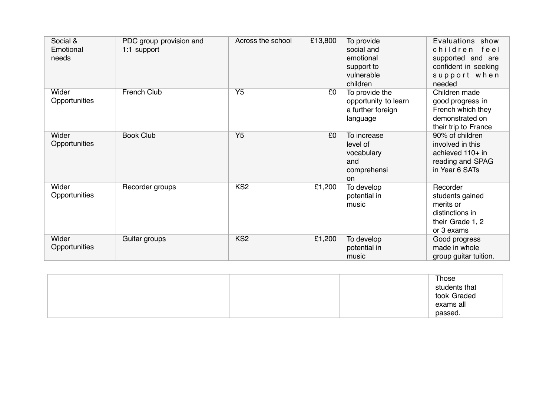| Social &<br>Emotional<br>needs | PDC group provision and<br>1:1 support | Across the school | £13,800 | To provide<br>social and<br>emotional<br>support to<br>vulnerable<br>children | Evaluations show<br>children feel<br>supported and are<br>confident in seeking<br>support when<br>needed |
|--------------------------------|----------------------------------------|-------------------|---------|-------------------------------------------------------------------------------|----------------------------------------------------------------------------------------------------------|
| Wider<br>Opportunities         | French Club                            | Y <sub>5</sub>    | £0      | To provide the<br>opportunity to learn<br>a further foreign<br>language       | Children made<br>good progress in<br>French which they<br>demonstrated on<br>their trip to France        |
| Wider<br>Opportunities         | <b>Book Club</b>                       | Y <sub>5</sub>    | £0      | To increase<br>level of<br>vocabulary<br>and<br>comprehensi<br>on             | 90% of children<br>involved in this<br>achieved 110+ in<br>reading and SPAG<br>in Year 6 SATs            |
| Wider<br>Opportunities         | Recorder groups                        | KS <sub>2</sub>   | £1,200  | To develop<br>potential in<br>music                                           | Recorder<br>students gained<br>merits or<br>distinctions in<br>their Grade 1, 2<br>or 3 exams            |
| Wider<br>Opportunities         | Guitar groups                          | KS <sub>2</sub>   | £1,200  | To develop<br>potential in<br>music                                           | Good progress<br>made in whole<br>group guitar tuition.                                                  |

|  |  | Those         |
|--|--|---------------|
|  |  | students that |
|  |  | took Graded   |
|  |  | exams all     |
|  |  | passed.       |